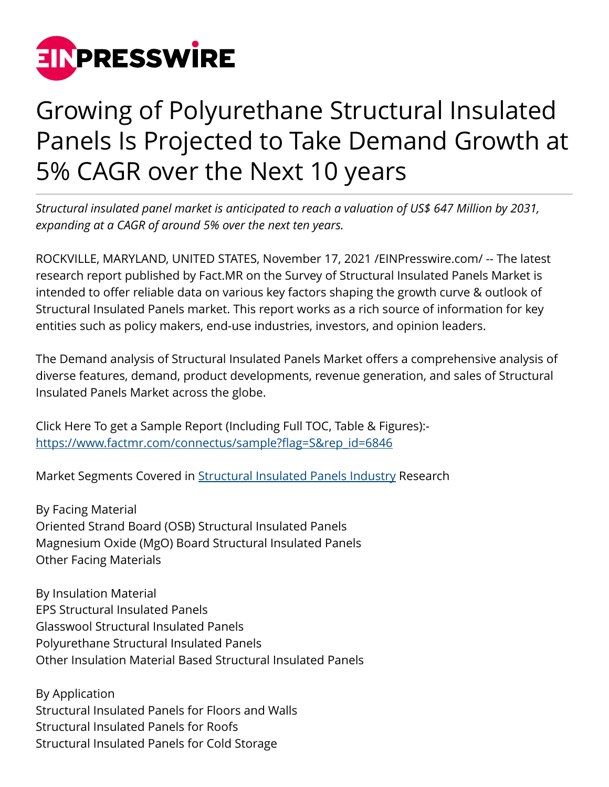

## Growing of Polyurethane Structural Insulated Panels Is Projected to Take Demand Growth at 5% CAGR over the Next 10 years

*Structural insulated panel market is anticipated to reach a valuation of US\$ 647 Million by 2031, expanding at a CAGR of around 5% over the next ten years.*

ROCKVILLE, MARYLAND, UNITED STATES, November 17, 2021 [/EINPresswire.com](http://www.einpresswire.com)/ -- The latest research report published by Fact.MR on the Survey of Structural Insulated Panels Market is intended to offer reliable data on various key factors shaping the growth curve & outlook of Structural Insulated Panels market. This report works as a rich source of information for key entities such as policy makers, end-use industries, investors, and opinion leaders.

The Demand analysis of Structural Insulated Panels Market offers a comprehensive analysis of diverse features, demand, product developments, revenue generation, and sales of Structural Insulated Panels Market across the globe.

Click Here To get a Sample Report (Including Full TOC, Table & Figures): [https://www.factmr.com/connectus/sample?flag=S&rep\\_id=6846](https://www.factmr.com/connectus/sample?flag=S&rep_id=6846)

Market Segments Covered in [Structural Insulated Panels Industry](https://www.factmr.com/report/structural-insulated-panels-market) Research

By Facing Material Oriented Strand Board (OSB) Structural Insulated Panels Magnesium Oxide (MgO) Board Structural Insulated Panels Other Facing Materials

By Insulation Material EPS Structural Insulated Panels Glasswool Structural Insulated Panels Polyurethane Structural Insulated Panels Other Insulation Material Based Structural Insulated Panels

By Application Structural Insulated Panels for Floors and Walls Structural Insulated Panels for Roofs Structural Insulated Panels for Cold Storage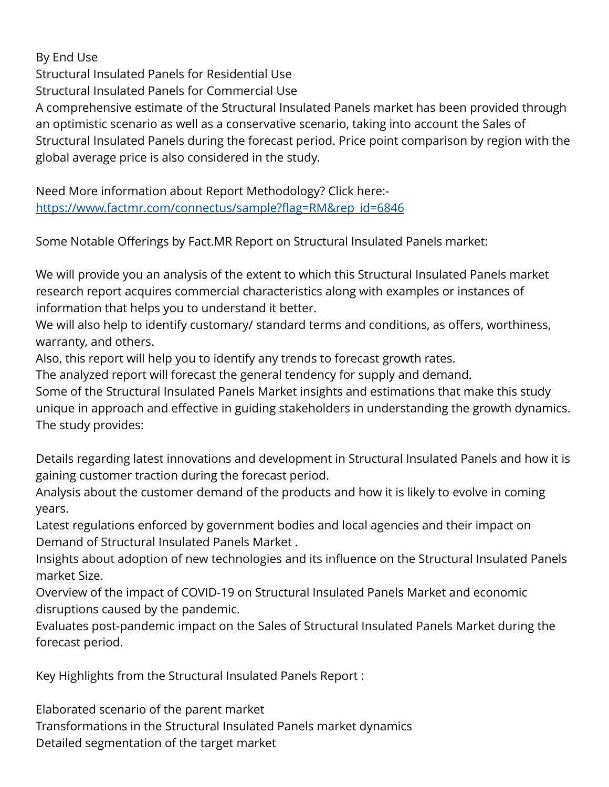By End Use Structural Insulated Panels for Residential Use Structural Insulated Panels for Commercial Use A comprehensive estimate of the Structural Insulated Panels market has been provided through an optimistic scenario as well as a conservative scenario, taking into account the Sales of Structural Insulated Panels during the forecast period. Price point comparison by region with the global average price is also considered in the study.

Need More information about Report Methodology? Click here: [https://www.factmr.com/connectus/sample?flag=RM&rep\\_id=6846](https://www.factmr.com/connectus/sample?flag=RM&rep_id=6846)

Some Notable Offerings by Fact.MR Report on Structural Insulated Panels market:

We will provide you an analysis of the extent to which this Structural Insulated Panels market research report acquires commercial characteristics along with examples or instances of information that helps you to understand it better.

We will also help to identify customary/ standard terms and conditions, as offers, worthiness, warranty, and others.

Also, this report will help you to identify any trends to forecast growth rates.

The analyzed report will forecast the general tendency for supply and demand.

Some of the Structural Insulated Panels Market insights and estimations that make this study unique in approach and effective in guiding stakeholders in understanding the growth dynamics. The study provides:

Details regarding latest innovations and development in Structural Insulated Panels and how it is gaining customer traction during the forecast period.

Analysis about the customer demand of the products and how it is likely to evolve in coming years.

Latest regulations enforced by government bodies and local agencies and their impact on Demand of Structural Insulated Panels Market .

Insights about adoption of new technologies and its influence on the Structural Insulated Panels market Size.

Overview of the impact of COVID-19 on Structural Insulated Panels Market and economic disruptions caused by the pandemic.

Evaluates post-pandemic impact on the Sales of Structural Insulated Panels Market during the forecast period.

Key Highlights from the Structural Insulated Panels Report :

Elaborated scenario of the parent market Transformations in the Structural Insulated Panels market dynamics Detailed segmentation of the target market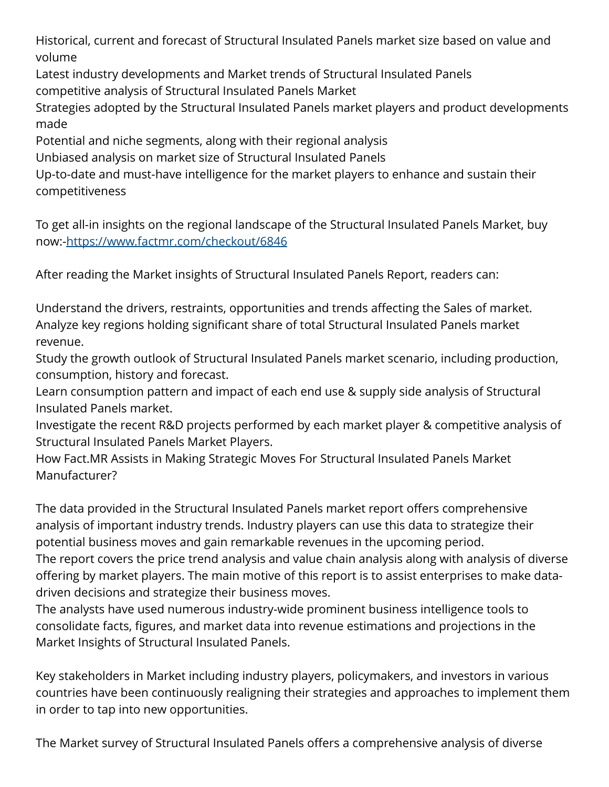Historical, current and forecast of Structural Insulated Panels market size based on value and volume

Latest industry developments and Market trends of Structural Insulated Panels competitive analysis of Structural Insulated Panels Market

Strategies adopted by the Structural Insulated Panels market players and product developments made

Potential and niche segments, along with their regional analysis

Unbiased analysis on market size of Structural Insulated Panels

Up-to-date and must-have intelligence for the market players to enhance and sustain their competitiveness

To get all-in insights on the regional landscape of the Structural Insulated Panels Market, buy now:-<https://www.factmr.com/checkout/6846>

After reading the Market insights of Structural Insulated Panels Report, readers can:

Understand the drivers, restraints, opportunities and trends affecting the Sales of market. Analyze key regions holding significant share of total Structural Insulated Panels market revenue.

Study the growth outlook of Structural Insulated Panels market scenario, including production, consumption, history and forecast.

Learn consumption pattern and impact of each end use & supply side analysis of Structural Insulated Panels market.

Investigate the recent R&D projects performed by each market player & competitive analysis of Structural Insulated Panels Market Players.

How Fact.MR Assists in Making Strategic Moves For Structural Insulated Panels Market Manufacturer?

The data provided in the Structural Insulated Panels market report offers comprehensive analysis of important industry trends. Industry players can use this data to strategize their potential business moves and gain remarkable revenues in the upcoming period.

The report covers the price trend analysis and value chain analysis along with analysis of diverse offering by market players. The main motive of this report is to assist enterprises to make datadriven decisions and strategize their business moves.

The analysts have used numerous industry-wide prominent business intelligence tools to consolidate facts, figures, and market data into revenue estimations and projections in the Market Insights of Structural Insulated Panels.

Key stakeholders in Market including industry players, policymakers, and investors in various countries have been continuously realigning their strategies and approaches to implement them in order to tap into new opportunities.

The Market survey of Structural Insulated Panels offers a comprehensive analysis of diverse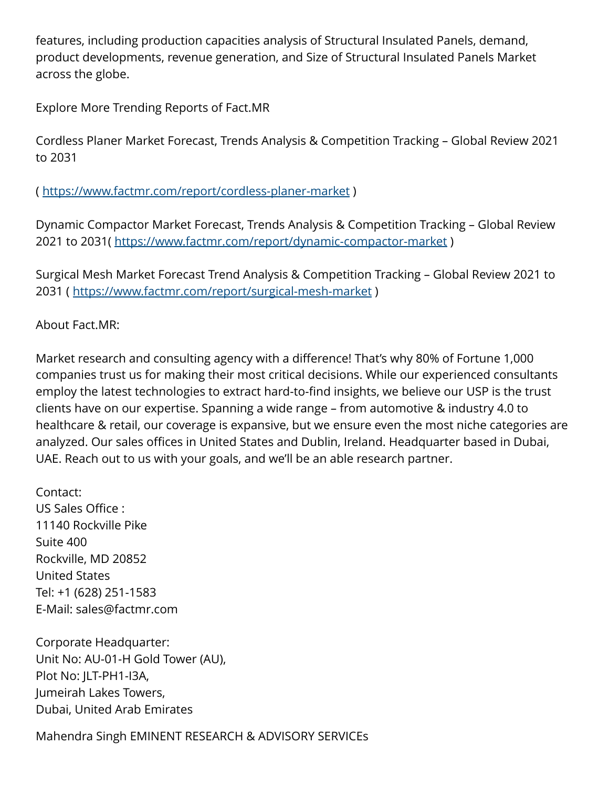features, including production capacities analysis of Structural Insulated Panels, demand, product developments, revenue generation, and Size of Structural Insulated Panels Market across the globe.

Explore More Trending Reports of Fact.MR

Cordless Planer Market Forecast, Trends Analysis & Competition Tracking – Global Review 2021 to 2031

( <https://www.factmr.com/report/cordless-planer-market>)

Dynamic Compactor Market Forecast, Trends Analysis & Competition Tracking – Global Review 2021 to 2031(<https://www.factmr.com/report/dynamic-compactor-market>)

Surgical Mesh Market Forecast Trend Analysis & Competition Tracking – Global Review 2021 to 2031 (<https://www.factmr.com/report/surgical-mesh-market>)

About Fact.MR:

Market research and consulting agency with a difference! That's why 80% of Fortune 1,000 companies trust us for making their most critical decisions. While our experienced consultants employ the latest technologies to extract hard-to-find insights, we believe our USP is the trust clients have on our expertise. Spanning a wide range – from automotive & industry 4.0 to healthcare & retail, our coverage is expansive, but we ensure even the most niche categories are analyzed. Our sales offices in United States and Dublin, Ireland. Headquarter based in Dubai, UAE. Reach out to us with your goals, and we'll be an able research partner.

Contact: US Sales Office : 11140 Rockville Pike Suite 400 Rockville, MD 20852 United States Tel: +1 (628) 251-1583 E-Mail: sales@factmr.com

Corporate Headquarter: Unit No: AU-01-H Gold Tower (AU), Plot No: JLT-PH1-I3A, Jumeirah Lakes Towers, Dubai, United Arab Emirates

Mahendra Singh EMINENT RESEARCH & ADVISORY SERVICEs